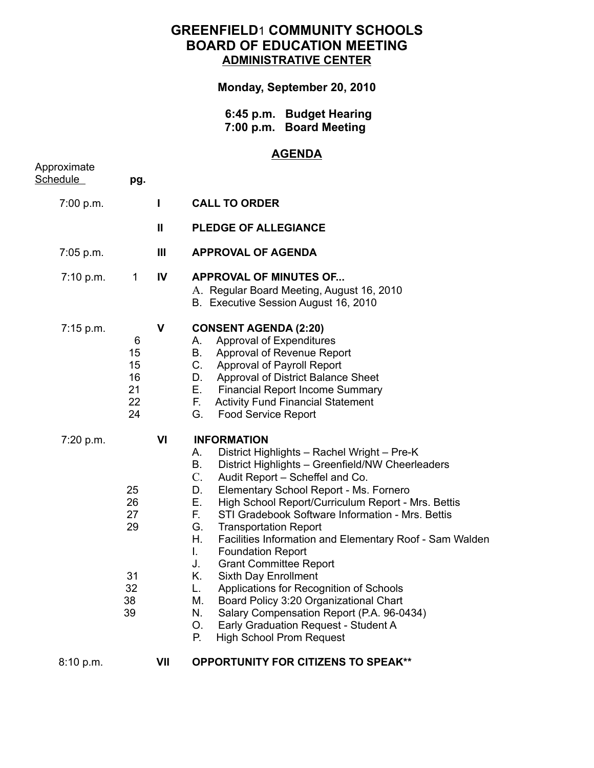## **GREENFIELD**1 **COMMUNITY SCHOOLS BOARD OF EDUCATION MEETING ADMINISTRATIVE CENTER**

**Monday, September 20, 2010**

 **6:45 p.m. Budget Hearing 7:00 p.m. Board Meeting**

## **AGENDA**

| Approximate<br>Schedule | pg.                                          |              |                                                                                                                                                                                                                                                                                                                                                                                                                                                                                                                                                                                                                                                                                                                                                                                                                    |
|-------------------------|----------------------------------------------|--------------|--------------------------------------------------------------------------------------------------------------------------------------------------------------------------------------------------------------------------------------------------------------------------------------------------------------------------------------------------------------------------------------------------------------------------------------------------------------------------------------------------------------------------------------------------------------------------------------------------------------------------------------------------------------------------------------------------------------------------------------------------------------------------------------------------------------------|
| 7:00 p.m.               |                                              | L            | <b>CALL TO ORDER</b>                                                                                                                                                                                                                                                                                                                                                                                                                                                                                                                                                                                                                                                                                                                                                                                               |
|                         |                                              | $\mathbf{I}$ | <b>PLEDGE OF ALLEGIANCE</b>                                                                                                                                                                                                                                                                                                                                                                                                                                                                                                                                                                                                                                                                                                                                                                                        |
| 7:05 p.m.               |                                              | Ш            | <b>APPROVAL OF AGENDA</b>                                                                                                                                                                                                                                                                                                                                                                                                                                                                                                                                                                                                                                                                                                                                                                                          |
| 7:10 p.m.               | $\mathbf{1}$                                 | IV           | <b>APPROVAL OF MINUTES OF</b><br>A. Regular Board Meeting, August 16, 2010<br>B. Executive Session August 16, 2010                                                                                                                                                                                                                                                                                                                                                                                                                                                                                                                                                                                                                                                                                                 |
| 7:15 p.m.               | 6<br>15<br>15<br>16<br>21<br>22<br>24        | V            | <b>CONSENT AGENDA (2:20)</b><br>Approval of Expenditures<br>A.<br><b>B.</b><br>Approval of Revenue Report<br>C. Approval of Payroll Report<br>D. Approval of District Balance Sheet<br>E.<br><b>Financial Report Income Summary</b><br>F.,<br><b>Activity Fund Financial Statement</b><br>G.<br><b>Food Service Report</b>                                                                                                                                                                                                                                                                                                                                                                                                                                                                                         |
| 7:20 p.m.               | 25<br>26<br>27<br>29<br>31<br>32<br>38<br>39 | VI           | <b>INFORMATION</b><br>District Highlights - Rachel Wright - Pre-K<br>А.<br>District Highlights - Greenfield/NW Cheerleaders<br>В.<br>$C_{\cdot}$<br>Audit Report - Scheffel and Co.<br>Elementary School Report - Ms. Fornero<br>D.<br>Е.<br>High School Report/Curriculum Report - Mrs. Bettis<br>F.<br>STI Gradebook Software Information - Mrs. Bettis<br>G.<br><b>Transportation Report</b><br>Η.<br>Facilities Information and Elementary Roof - Sam Walden<br>L.<br><b>Foundation Report</b><br>J.<br><b>Grant Committee Report</b><br>Κ.<br>Sixth Day Enrollment<br>L.<br>Applications for Recognition of Schools<br>Board Policy 3:20 Organizational Chart<br>М.<br>N.<br>Salary Compensation Report (P.A. 96-0434)<br>Early Graduation Request - Student A<br>О.<br><b>High School Prom Request</b><br>Р. |
| 8:10 p.m.               |                                              | VII          | <b>OPPORTUNITY FOR CITIZENS TO SPEAK**</b>                                                                                                                                                                                                                                                                                                                                                                                                                                                                                                                                                                                                                                                                                                                                                                         |